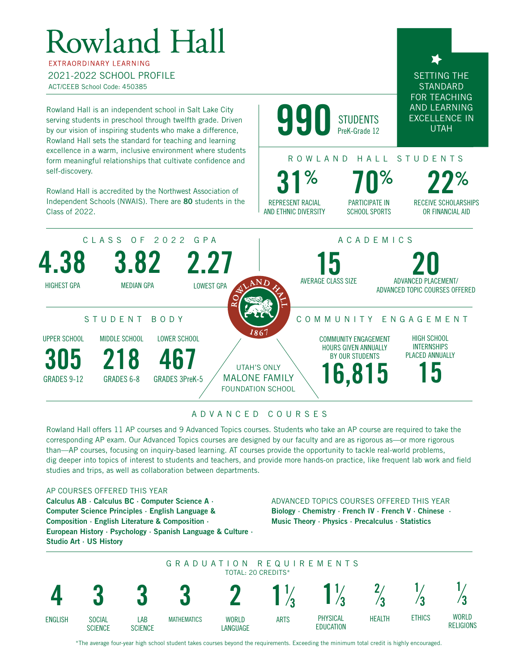# Rowland Hall

**FXTRAORDINARY LEARNING** 2021-2022 SCHOOL PROFILE ACT/CEEB School Code: 450385

Rowland Hall is an independent school in Salt Lake City serving students in preschool through twelfth grade. Driven by our vision of inspiring students who make a difference, Rowland Hall sets the standard for teaching and learning excellence in a warm, inclusive environment where students form meaningful relationships that cultivate confidence and self-discovery.

Rowland Hall is accredited by the Northwest Association of Independent Schools (NWAIS). There are 80 students in the Class of 2022.

990 **STUDENTS** PreK-Grade 12

## ROWLAND HALL STUDENTS

PARTICIPATE IN SCHOOL SPORTS 31% 70% 22%

RECEIVE SCHOLARSHIPS OR FINANCIAL AID

SETTING THE **STANDARD** FOR TEACHING AND LEARNING EXCELLENCE IN UTAH



REPRESENT RACIAL AND ETHNIC DIVERSITY

### ADVANCED COURSES

Rowland Hall offers 11 AP courses and 9 Advanced Topics courses. Students who take an AP course are required to take the corresponding AP exam. Our Advanced Topics courses are designed by our faculty and are as rigorous as—or more rigorous than—AP courses, focusing on inquiry-based learning. AT courses provide the opportunity to tackle real-world problems, dig deeper into topics of interest to students and teachers, and provide more hands-on practice, like frequent lab work and field studies and trips, as well as collaboration between departments.

#### AP COURSES OFFERED THIS YEAR

Calculus AB ∙ Calculus BC ∙ Computer Science A ∙ Computer Science Principles ∙ English Language & Composition ∙ English Literature & Composition ∙ European History ∙ Psychology ∙ Spanish Language & Culture ∙ Studio Art ∙ US History

#### ADVANCED TOPICS COURSES OFFERED THIS YEAR Biology ∙ Chemistry ∙ French IV ∙ French V ∙ Chinese ∙ Music Theory ∙ Physics ∙ Precalculus ∙ Statistics



\*The average four-year high school student takes courses beyond the requirements. Exceeding the minimum total credit is highly encouraged.